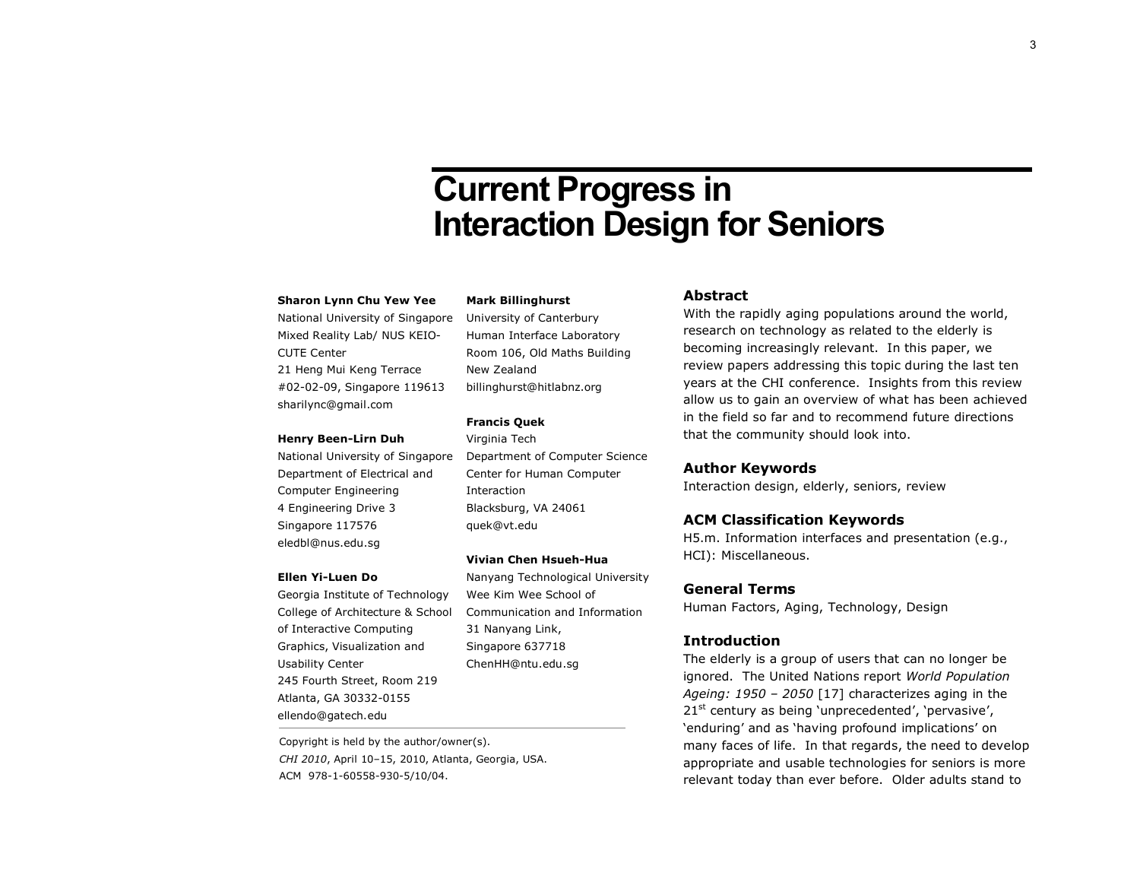# **Current Progress in Interaction Design for Seniors**

#### **Sharon Lynn Chu Yew Yee**

National University of Singapore Mixed Reality Lab/ NUS KEIO-CUTE Center 21 Heng Mui Keng Terrace #02-02-09, Singapore 119613 sharilync@gmail.com

#### **Henry Been-Lirn Duh**

National University of Singapore Department of Electrical and Computer Engineering 4 Engineering Drive 3 Singapore 117576 eledbl@nus.edu.sg

#### **Ellen Yi-Luen Do**

Georgia Institute of Technology College of Architecture & School of Interactive Computing Graphics, Visualization and Usability Center 245 Fourth Street, Room 219 Atlanta, GA 30332-0155 ellendo@gatech.edu

Copyright is held by the author/owner(s). *CHI 2010*, April 10–15, 2010, Atlanta, Georgia, USA. ACM 978-1-60558-930-5/10/04.

#### **Mark Billinghurst**

University of Canterbury Human Interface Laboratory Room 106, Old Maths Building New Zealand billinghurst@hitlabnz.org

#### **Francis Quek**

Virginia Tech Department of Computer Science Center for Human Computer Interaction Blacksburg, VA 24061 quek@vt.edu

#### **Vivian Chen Hsueh-Hua**

Nanyang Technological University Wee Kim Wee School of Communication and Information 31 Nanyang Link, Singapore 637718 ChenHH@ntu.edu.sg

#### **Abstract**

With the rapidly aging populations around the world, research on technology as related to the elderly is becoming increasingly relevant. In this paper, we review papers addressing this topic during the last ten years at the CHI conference. Insights from this review allow us to gain an overview of what has been achieved in the field so far and to recommend future directions that the community should look into.

### **Author Keywords**

Interaction design, elderly, seniors, review

#### **ACM Classification Keywords**

H5.m. Information interfaces and presentation (e.g., HCI): Miscellaneous.

## **General Terms**

Human Factors, Aging, Technology, Design

## **Introduction**

The elderly is a group of users that can no longer be ignored. The United Nations report *World Population Ageing: 1950 – 2050* [17] characterizes aging in the 21<sup>st</sup> century as being 'unprecedented', 'pervasive', 'enduring' and as 'having profound implications' on many faces of life. In that regards, the need to develop appropriate and usable technologies for seniors is more relevant today than ever before. Older adults stand to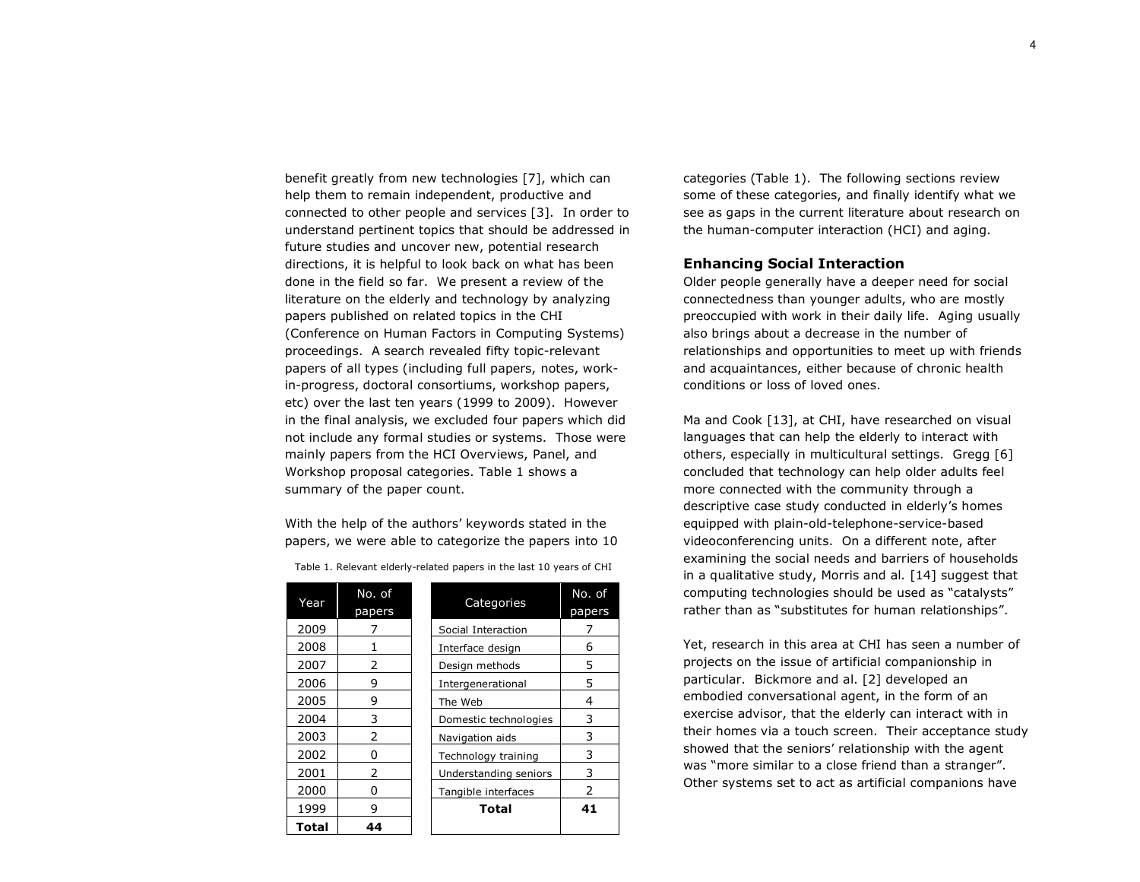benefit greatly from new technologies [7], which can help them to remain independent, productive and connected to other people and services [3]. In order to understand pertinent topics that should be addressed in future studies and uncover new, potential research directions, it is helpful to look back on what has been done in the field so far. We present a review of the literature on the elderly and technology by analyzing papers published on related topics in the CHI (Conference on Human Factors in Computing Systems) proceedings. A search revealed fifty topic-relevant papers of all types (including full papers, notes, workin-progress, doctoral consortiums, workshop papers, etc) over the last ten years (1999 to 2009). However in the final analysis, we excluded four papers which did not include any formal studies or systems. Those were mainly papers from the HCI Overviews, Panel, and Workshop proposal categories. Table 1 shows a summary of the paper count.

With the help of the authors' keywords stated in the papers, we were able to categorize the papers into 10

| Year  | No. of<br>papers | Categories            | No. of<br>papers |
|-------|------------------|-----------------------|------------------|
| 2009  |                  | Social Interaction    |                  |
| 2008  |                  | Interface design      | 6                |
| 2007  | 2                | Design methods        | 5                |
| 2006  | 9                | Intergenerational     | 5                |
| 2005  | 9                | The Web               | 4                |
| 2004  | 3                | Domestic technologies | 3                |
| 2003  | 2                | Navigation aids       | 3                |
| 2002  | 0                | Technology training   | 3                |
| 2001  | 2                | Understanding seniors | 3                |
| 2000  | O                | Tangible interfaces   | 2                |
| 1999  | 9                | <b>Total</b>          | 41               |
| Total | 44               |                       |                  |

Table 1. Relevant elderly-related papers in the last 10 years of CHI

**Total 44** 

categories (Table 1). The following sections review some of these categories, and finally identify what we see as gaps in the current literature about research on the human-computer interaction (HCI) and aging.

## **Enhancing Social Interaction**

Older people generally have a deeper need for social connectedness than younger adults, who are mostly preoccupied with work in their daily life. Aging usually also brings about a decrease in the number of relationships and opportunities to meet up with friends and acquaintances, either because of chronic health conditions or loss of loved ones.

Ma and Cook [13], at CHI, have researched on visual languages that can help the elderly to interact with others, especially in multicultural settings. Gregg [6] concluded that technology can help older adults feel more connected with the community through a descriptive case study conducted in elderly's homes equipped with plain-old-telephone-service-based videoconferencing units. On a different note, after examining the social needs and barriers of households in a qualitative study, Morris and al. [14] suggest that computing technologies should be used as "catalysts" rather than as "substitutes for human relationships".

Yet, research in this area at CHI has seen a number of projects on the issue of artificial companionship in particular. Bickmore and al. [2] developed an embodied conversational agent, in the form of an exercise advisor, that the elderly can interact with in their homes via a touch screen. Their acceptance study showed that the seniors' relationship with the agent was "more similar to a close friend than a stranger". Other systems set to act as artificial companions have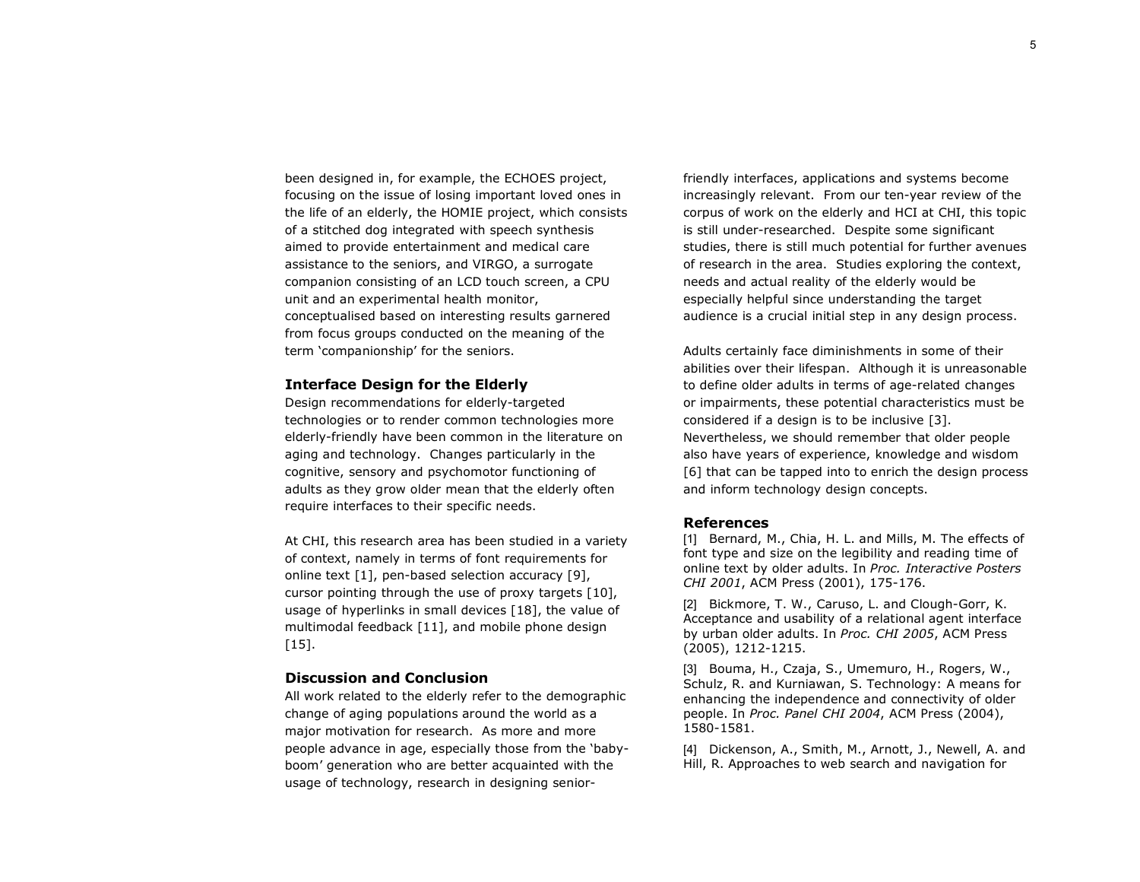been designed in, for example, the ECHOES project, focusing on the issue of losing important loved ones in the life of an elderly, the HOMIE project, which consists of a stitched dog integrated with speech synthesis aimed to provide entertainment and medical care assistance to the seniors, and VIRGO, a surrogate companion consisting of an LCD touch screen, a CPU unit and an experimental health monitor, conceptualised based on interesting results garnered from focus groups conducted on the meaning of the term 'companionship' for the seniors.

### **Interface Design for the Elderly**

Design recommendations for elderly-targeted technologies or to render common technologies more elderly-friendly have been common in the literature on aging and technology. Changes particularly in the cognitive, sensory and psychomotor functioning of adults as they grow older mean that the elderly often require interfaces to their specific needs.

At CHI, this research area has been studied in a variety of context, namely in terms of font requirements for online text [1], pen-based selection accuracy [9], cursor pointing through the use of proxy targets [10], usage of hyperlinks in small devices [18], the value of multimodal feedback [11], and mobile phone design  $[15]$ .

## **Discussion and Conclusion**

All work related to the elderly refer to the demographic change of aging populations around the world as a major motivation for research. As more and more people advance in age, especially those from the 'babyboom' generation who are better acquainted with the usage of technology, research in designing senior-

friendly interfaces, applications and systems become increasingly relevant. From our ten-year review of the corpus of work on the elderly and HCI at CHI, this topic is still under-researched. Despite some significant studies, there is still much potential for further avenues of research in the area. Studies exploring the context, needs and actual reality of the elderly would be especially helpful since understanding the target audience is a crucial initial step in any design process.

Adults certainly face diminishments in some of their abilities over their lifespan. Although it is unreasonable to define older adults in terms of age-related changes or impairments, these potential characteristics must be considered if a design is to be inclusive [3]. Nevertheless, we should remember that older people also have years of experience, knowledge and wisdom [6] that can be tapped into to enrich the design process and inform technology design concepts.

### **References**

[1] Bernard, M., Chia, H. L. and Mills, M. The effects of font type and size on the legibility and reading time of online text by older adults. In *Proc. Interactive Posters CHI 2001*, ACM Press (2001), 175-176.

[2] Bickmore, T. W., Caruso, L. and Clough-Gorr, K. Acceptance and usability of a relational agent interface by urban older adults. In *Proc. CHI 2005*, ACM Press (2005), 1212-1215.

[3] Bouma, H., Czaja, S., Umemuro, H., Rogers, W., Schulz, R. and Kurniawan, S. Technology: A means for enhancing the independence and connectivity of older people. In *Proc. Panel CHI 2004*, ACM Press (2004), 1580-1581.

[4] Dickenson, A., Smith, M., Arnott, J., Newell, A. and Hill, R. Approaches to web search and navigation for